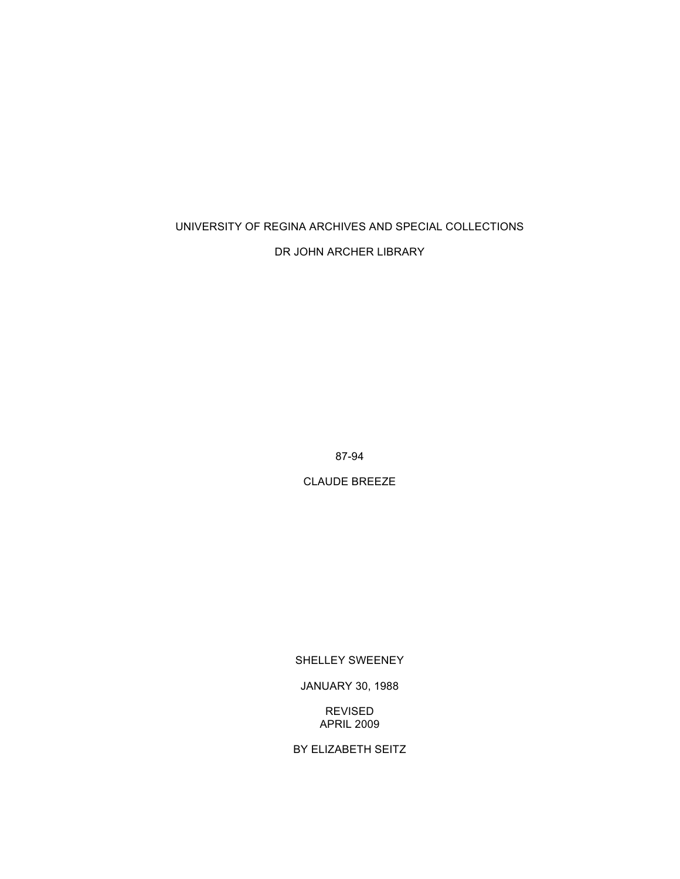# UNIVERSITY OF REGINA ARCHIVES AND SPECIAL COLLECTIONS

## DR JOHN ARCHER LIBRARY

87-94

CLAUDE BREEZE

## SHELLEY SWEENEY

JANUARY 30, 1988

REVISED APRIL 2009

BY ELIZABETH SEITZ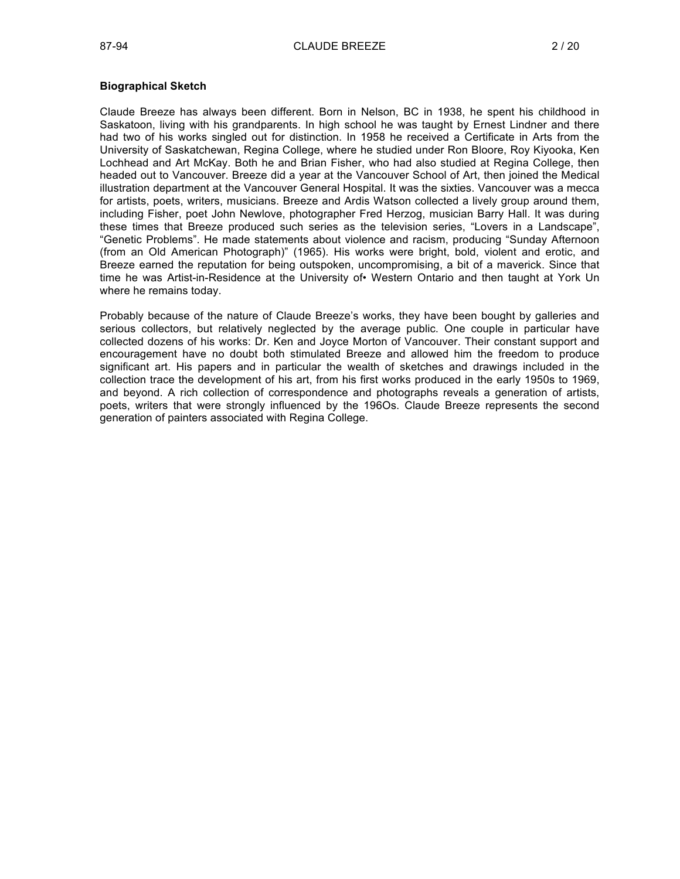## **Biographical Sketch**

Claude Breeze has always been different. Born in Nelson, BC in 1938, he spent his childhood in Saskatoon, living with his grandparents. In high school he was taught by Ernest Lindner and there had two of his works singled out for distinction. In 1958 he received a Certificate in Arts from the University of Saskatchewan, Regina College, where he studied under Ron Bloore, Roy Kiyooka, Ken Lochhead and Art McKay. Both he and Brian Fisher, who had also studied at Regina College, then headed out to Vancouver. Breeze did a year at the Vancouver School of Art, then joined the Medical illustration department at the Vancouver General Hospital. It was the sixties. Vancouver was a mecca for artists, poets, writers, musicians. Breeze and Ardis Watson collected a lively group around them, including Fisher, poet John Newlove, photographer Fred Herzog, musician Barry Hall. It was during these times that Breeze produced such series as the television series, "Lovers in a Landscape", "Genetic Problems". He made statements about violence and racism, producing "Sunday Afternoon (from an Old American Photograph)" (1965). His works were bright, bold, violent and erotic, and Breeze earned the reputation for being outspoken, uncompromising, a bit of a maverick. Since that time he was Artist-in-Residence at the University of• Western Ontario and then taught at York Un where he remains today.

Probably because of the nature of Claude Breeze's works, they have been bought by galleries and serious collectors, but relatively neglected by the average public. One couple in particular have collected dozens of his works: Dr. Ken and Joyce Morton of Vancouver. Their constant support and encouragement have no doubt both stimulated Breeze and allowed him the freedom to produce significant art. His papers and in particular the wealth of sketches and drawings included in the collection trace the development of his art, from his first works produced in the early 1950s to 1969, and beyond. A rich collection of correspondence and photographs reveals a generation of artists, poets, writers that were strongly influenced by the 196Os. Claude Breeze represents the second generation of painters associated with Regina College.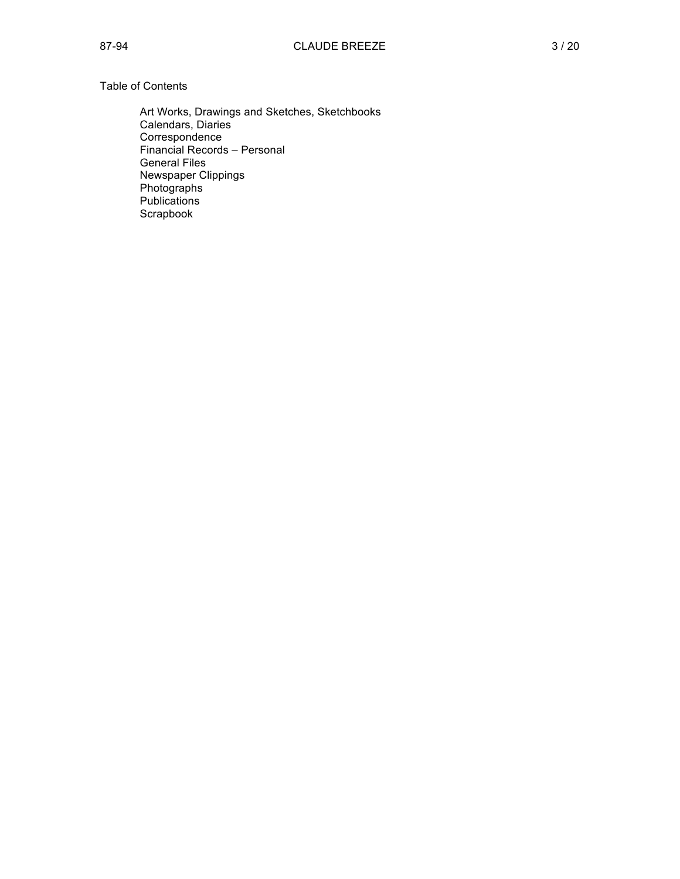## Table of Contents

Art Works, Drawings and Sketches, Sketchbooks Calendars, Diaries Correspondence Financial Records – Personal General Files Newspaper Clippings Photographs Publications **Scrapbook**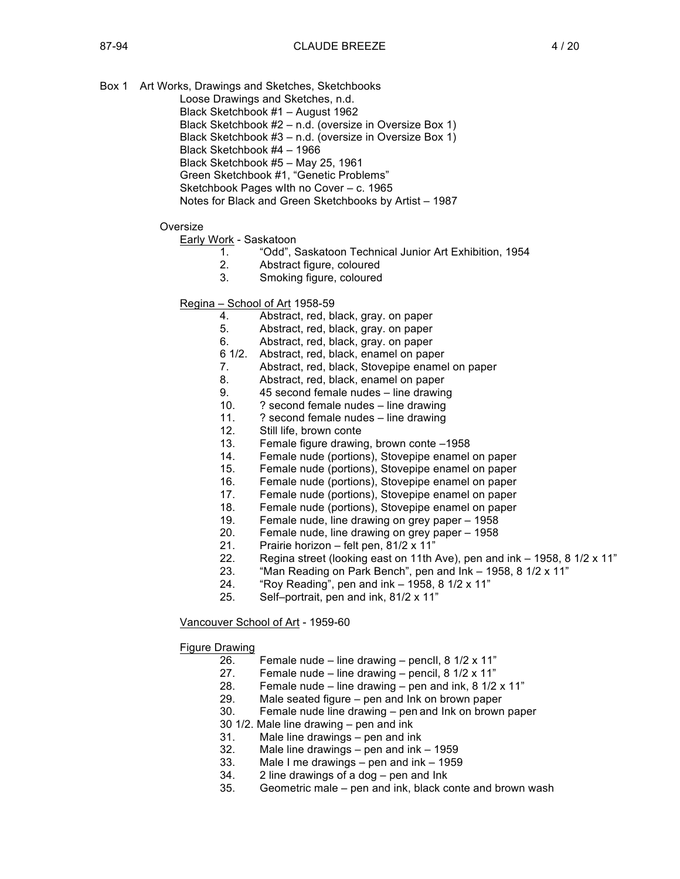- Box 1 Art Works, Drawings and Sketches, Sketchbooks
	- Loose Drawings and Sketches, n.d.
		- Black Sketchbook #1 August 1962
		- Black Sketchbook #2 n.d. (oversize in Oversize Box 1)
	- Black Sketchbook #3 n.d. (oversize in Oversize Box 1)
	- Black Sketchbook #4 1966
	- Black Sketchbook #5 May 25, 1961
	- Green Sketchbook #1, "Genetic Problems"
	- Sketchbook Pages wIth no Cover c. 1965
	- Notes for Black and Green Sketchbooks by Artist 1987

### **Oversize**

Early Work - Saskatoon

- 1. "Odd", Saskatoon Technical Junior Art Exhibition, 1954
- 2. Abstract figure, coloured
- 3. Smoking figure, coloured

## Regina – School of Art 1958-59

- 4. Abstract, red, black, gray. on paper
- 5. Abstract, red, black, gray. on paper
- 6. Abstract, red, black, gray. on paper
- 6 1/2. Abstract, red, black, enamel on paper
- 7. Abstract, red, black, Stovepipe enamel on paper
- 8. Abstract, red, black, enamel on paper
- 9. 45 second female nudes line drawing
- 10. ? second female nudes line drawing
- 11. ? second female nudes line drawing
- 12. Still life, brown conte
- 13. Female figure drawing, brown conte –1958
- 14. Female nude (portions), Stovepipe enamel on paper
- 15. Female nude (portions), Stovepipe enamel on paper
- 16. Female nude (portions), Stovepipe enamel on paper
- 17. Female nude (portions), Stovepipe enamel on paper
- 18. Female nude (portions), Stovepipe enamel on paper
- 19. Female nude, line drawing on grey paper 1958
- 20. Female nude, line drawing on grey paper 1958
- 21. Prairie horizon felt pen, 81/2 x 11"
- 22. Regina street (looking east on 11th Ave), pen and ink 1958, 8 1/2 x 11"
- 23. "Man Reading on Park Bench", pen and Ink 1958, 8 1/2 x 11"
- 24. "Roy Reading", pen and ink 1958, 8 1/2 x 11"
- 25. Self–portrait, pen and ink, 81/2 x 11"

## Vancouver School of Art - 1959-60

#### Figure Drawing

- 26. Female nude line drawing pencll,  $8 \frac{1}{2} \times 11$ "
	- 27. Female nude line drawing pencil, 8 1/2 x 11"
- 28. Female nude line drawing pen and ink, 8 1/2 x 11"
- 29. Male seated figure pen and Ink on brown paper
- 30. Female nude line drawing pen and Ink on brown paper
- 30 1/2. Male line drawing pen and ink
- 31. Male line drawings pen and ink
- 32. Male line drawings pen and ink 1959
- 33. Male I me drawings pen and ink 1959
- 34. 2 line drawings of a dog pen and Ink
- 35. Geometric male pen and ink, black conte and brown wash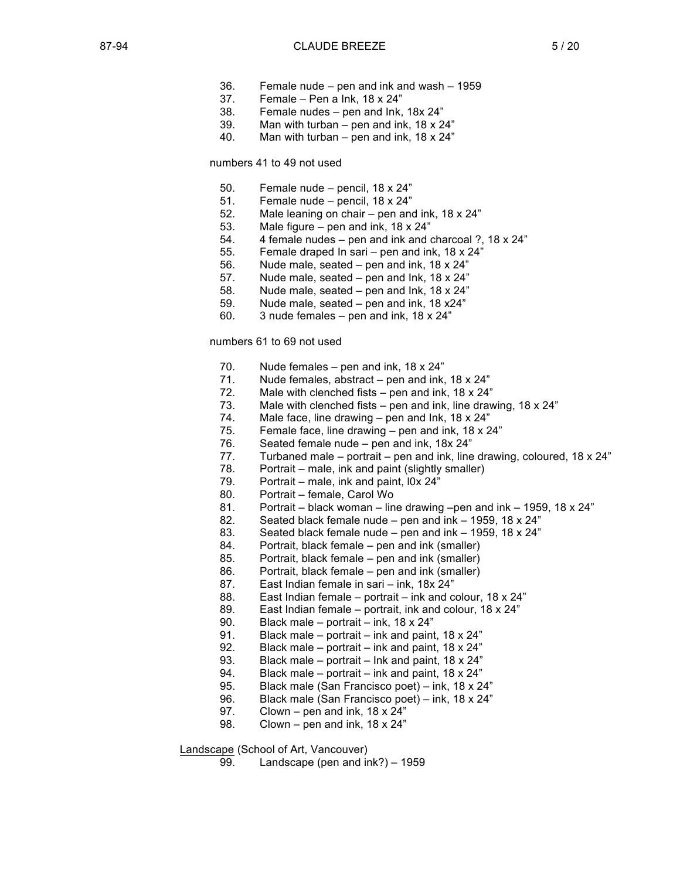- 36. Female nude pen and ink and wash 1959
- 37. Female Pen a Ink, 18 x 24"
- 38. Female nudes pen and Ink, 18x 24"
- 39. Man with turban pen and ink,  $18 \times 24$ "
- 40. Man with turban pen and ink, 18 x 24"

## numbers 41 to 49 not used

- 50. Female nude pencil, 18 x 24"
- 51. Female nude pencil, 18 x 24"
- 52. Male leaning on chair pen and ink, 18 x 24"
- 53. Male figure pen and ink, 18 x 24"
- 54. 4 female nudes pen and ink and charcoal ?, 18 x 24"
- 55. Female draped In sari pen and ink, 18 x 24"
- 56. Nude male, seated pen and ink, 18 x 24"
- 57. Nude male, seated pen and Ink, 18 x 24"
- 58. Nude male, seated pen and Ink, 18 x 24"
- 59. Nude male, seated pen and ink, 18 x24"
- 60. 3 nude females pen and ink, 18 x 24"

#### numbers 61 to 69 not used

- 70. Nude females pen and ink, 18 x 24"
- 71. Nude females, abstract pen and ink, 18 x 24"
- 72. Male with clenched fists  $-$  pen and ink, 18 x 24"
- 73. Male with clenched fists pen and ink, line drawing, 18 x 24"
- 74. Male face, line drawing pen and Ink, 18 x 24"
- 75. Female face, line drawing pen and ink, 18 x 24"
- 76. Seated female nude pen and ink, 18x 24"
- 77. Turbaned male portrait pen and ink, line drawing, coloured, 18  $\times$  24"
- 78. Portrait male, ink and paint (slightly smaller)
- 79. Portrait male, ink and paint, l0x 24"
- 80. Portrait female, Carol Wo
- 81. Portrait black woman line drawing –pen and ink 1959, 18 x 24"
- 82. Seated black female nude pen and ink 1959, 18 x 24"
- 83. Seated black female nude pen and ink 1959, 18 x 24"
- 84. Portrait, black female pen and ink (smaller)
- 85. Portrait, black female pen and ink (smaller)
- 86. Portrait, black female pen and ink (smaller)
- 87. East Indian female in sari ink, 18x 24"
- 88. East Indian female portrait ink and colour, 18 x 24"
- 89. East Indian female portrait, ink and colour, 18 x 24"
- 90. Black male portrait ink, 18 x 24"
- 91. Black male portrait ink and paint, 18 x 24"
- 92. Black male portrait ink and paint, 18 x 24"
- 93. Black male portrait Ink and paint, 18 x 24"
- 94. Black male portrait ink and paint, 18 x 24"
- 95. Black male (San Francisco poet) ink, 18 x 24"
- 96. Black male (San Francisco poet) ink, 18 x 24"
- 97. Clown pen and ink, 18 x 24"
- 98. Clown pen and ink, 18 x 24"

Landscape (School of Art, Vancouver)

99. Landscape (pen and ink?) – 1959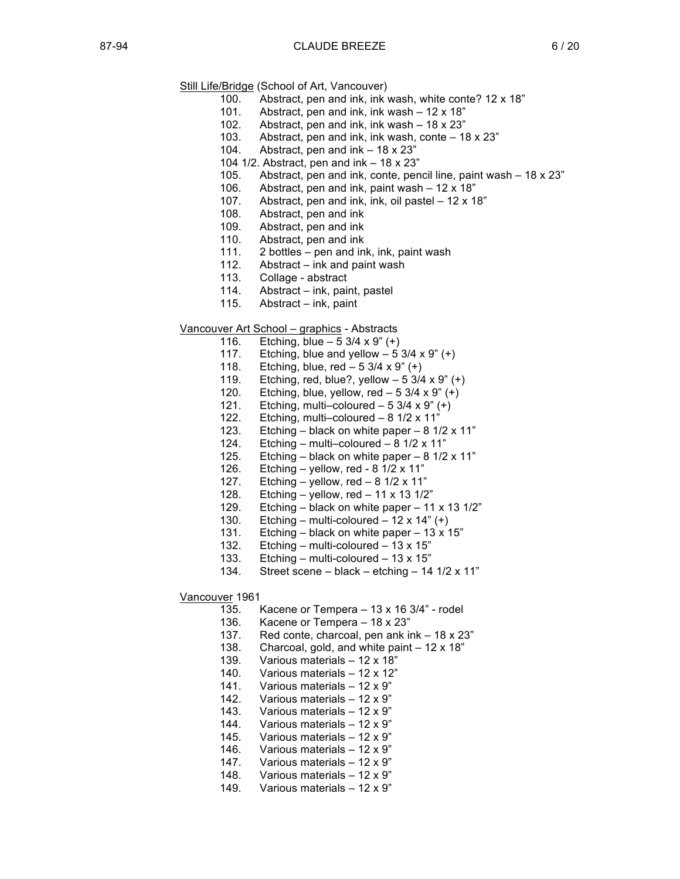- Still Life/Bridge (School of Art, Vancouver)
	- 100. Abstract, pen and ink, ink wash, white conte? 12 x 18"
	- 101. Abstract, pen and ink, ink wash 12 x 18"
	- 102. Abstract, pen and ink, ink wash 18 x 23"
	- 103. Abstract, pen and ink, ink wash, conte 18 x 23"
	- 104. Abstract, pen and ink 18 x 23"
	- 104 1/2. Abstract, pen and ink 18 x 23"
	- 105. Abstract, pen and ink, conte, pencil line, paint wash 18 x 23"
	- 106. Abstract, pen and ink, paint wash 12 x 18"
	- 107. Abstract, pen and ink, ink, oil pastel 12 x 18"
	- 108. Abstract, pen and ink
	- 109. Abstract, pen and ink
	- 110. Abstract, pen and ink
	- 111. 2 bottles pen and ink, ink, paint wash
	- 112. Abstract ink and paint wash
	- 113. Collage abstract
	- 114. Abstract ink, paint, pastel
	- 115. Abstract ink, paint

Vancouver Art School – graphics - Abstracts

- 116. Etching, blue  $-53/4 \times 9$ " (+)
- 117. Etching, blue and yellow  $-53/4 \times 9$ " (+)
- 118. Etching, blue,  $red 5 \frac{3}{4} \times 9$ " (+)
- 119. Etching, red, blue?, yellow  $-53/4 \times 9''$  (+)
- 120. Etching, blue, yellow, red  $-53/4 \times 9$ " (+)
- 121. Etching, multi–coloured  $-53/4 \times 9$ " (+)
- 122. Etching, multi–coloured 8 1/2 x 11"
- 123. Etching black on white paper 8 1/2 x 11"
- 124. Etching multi–coloured 8 1/2 x 11"
- 125. Etching black on white paper  $8 \frac{1}{2} \times 11$ "
- 126. Etching yellow, red 8 1/2 x 11"
- 127. Etching yellow, red  $8 \frac{1}{2} \times 11$ "
- 128. Etching yellow, red 11 x 13 1/2"
- 129. Etching black on white paper 11 x 13 1/2"
- 130. Etching multi-coloured 12 x 14"  $(+)$
- 131. Etching black on white paper 13 x 15"
- 132. Etching multi-coloured 13 x 15"
- 133. Etching multi-coloured 13 x 15"
- 134. Street scene black etching 14  $1/2 \times 11$ "

Vancouver 1961

- 135. Kacene or Tempera 13 x 16 3/4" rodel
- 136. Kacene or Tempera 18 x 23"
- 137. Red conte, charcoal, pen ank ink 18 x 23"
- 138. Charcoal, gold, and white paint 12 x 18"
- 139. Various materials 12 x 18"
- 140. Various materials 12 x 12"
- 141. Various materials 12 x 9"
- 142. Various materials 12 x 9"
- 143. Various materials 12 x 9"
- 144. Various materials 12 x 9"
- 145. Various materials 12 x 9"
- 146. Various materials 12 x 9"
- 147. Various materials 12 x 9"
- 148. Various materials 12 x 9"
- 149. Various materials 12 x 9"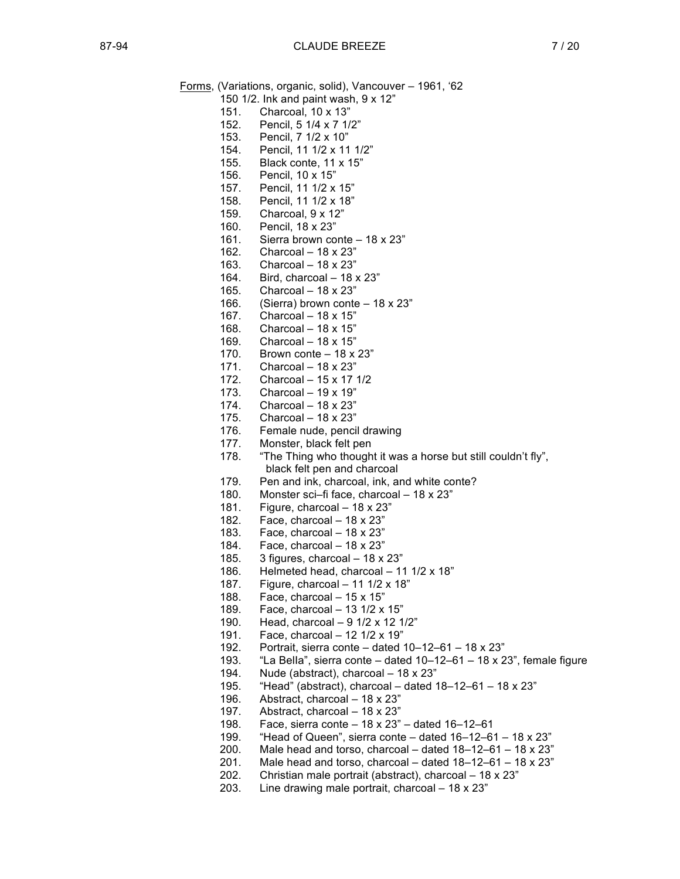Forms, (Variations, organic, solid), Vancouver – 1961, '62 150 1/2. Ink and paint wash, 9 x 12"

- 151. Charcoal, 10 x 13"
- 152. Pencil, 5 1/4 x 7 1/2"
- 153. Pencil, 7 1/2 x 10"
- 154. Pencil, 11 1/2 x 11 1/2"
- 155. Black conte, 11 x 15"
- 156. Pencil, 10 x 15"
- 157. Pencil, 11 1/2 x 15"
- 158. Pencil, 11 1/2 x 18"
- 159. Charcoal, 9 x 12"
- 160. Pencil, 18 x 23"
- 161. Sierra brown conte 18 x 23"
- 162. Charcoal 18 x 23"
- 163. Charcoal 18 x 23"
- 164. Bird, charcoal 18 x 23"
- 165. Charcoal 18 x 23"
- 166. (Sierra) brown conte 18 x 23"
- 167. Charcoal 18 x 15"
- 168. Charcoal 18 x 15"
- 169. Charcoal 18 x 15"
- 170. Brown conte 18 x 23"
- 171. Charcoal 18 x 23"
- 172. Charcoal 15 x 17 1/2<br>173. Charcoal 19 x 19"
- Charcoal  $19 \times 19"$
- 174. Charcoal 18 x 23"
- 175. Charcoal 18 x 23"
- 176. Female nude, pencil drawing
- 177. Monster, black felt pen
- 178. "The Thing who thought it was a horse but still couldn't fly", black felt pen and charcoal
- 179. Pen and ink, charcoal, ink, and white conte?
- 180. Monster sci–fi face, charcoal 18 x 23"
- 181. Figure, charcoal 18 x 23"
- 182. Face, charcoal 18 x 23"
- 183. Face, charcoal 18 x 23"
- 184. Face, charcoal 18 x 23"
- 185. 3 figures, charcoal  $-18 \times 23$ "
- 186. Helmeted head, charcoal 11 1/2 x 18"
- 187. Figure, charcoal 11 1/2 x 18"
- 188. Face, charcoal 15 x 15"
- 189. Face, charcoal 13 1/2 x 15"
- 190. Head, charcoal 9 1/2 x 12 1/2"
- 191. Face, charcoal 12 1/2 x 19"
- 192. Portrait, sierra conte dated 10–12–61 18 x 23"
- 193. "La BelIa", sierra conte dated 10–12–61 18 x 23", female figure
- 194. Nude (abstract), charcoal  $-18 \times 23$ "
- 195. "Head" (abstract), charcoal dated 18–12–61 18 x 23"
- 196. Abstract, charcoal 18 x 23"
- 197. Abstract, charcoal 18 x 23"
- 198. Face, sierra conte 18 x 23" dated 16–12–61
- 199. "Head of Queen", sierra conte dated 16–12–61 18 x 23"
- 200. Male head and torso, charcoal  $-$  dated  $18-12-61-18 \times 23$ "
- 201. Male head and torso, charcoal dated  $18-12-61-18 \times 23$ "
- 202. Christian male portrait (abstract), charcoal 18 x 23"
- 203. Line drawing male portrait, charcoal 18 x 23"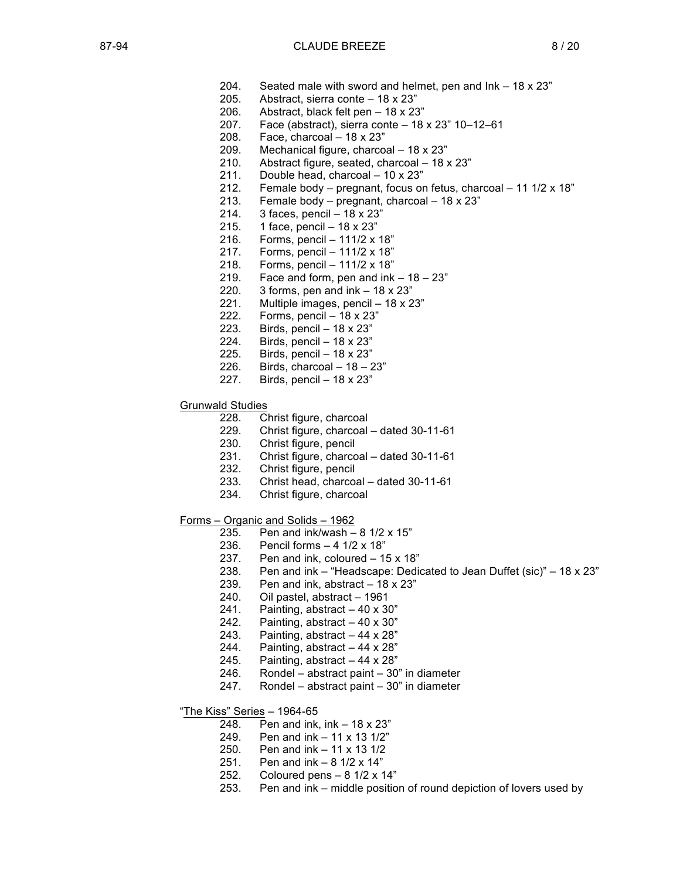- 204. Seated male with sword and helmet, pen and Ink 18 x 23"
- 205. Abstract, sierra conte 18 x 23"
- 206. Abstract, black felt pen 18 x 23"
- 207. Face (abstract), sierra conte 18 x 23" 10–12–61
- 208. Face, charcoal 18 x 23"
- 209. Mechanical figure, charcoal 18 x 23"
- 210. Abstract figure, seated, charcoal 18 x 23"
- 211. Double head, charcoal 10 x 23"
- 212. Female body pregnant, focus on fetus, charcoal 11 1/2 x 18"
- 213. Female body pregnant, charcoal 18 x 23"
- 214. 3 faces, pencil 18 x 23"
- 215. 1 face, pencil 18 x 23"
- 216. Forms, pencil 111/2 x 18"
- 217. Forms, pencil 111/2 x 18"
- 218. Forms, pencil 111/2 x 18"
- 219. Face and form, pen and  $ink 18 23"$
- 220. 3 forms, pen and  $ink 18 \times 23$ "
- 221. Multiple images, pencil 18 x 23"
- 222. Forms, pencil 18 x 23"
- 223. Birds, pencil 18 x 23"
- 224. Birds, pencil 18 x 23"
- 225. Birds, pencil 18 x 23"
- 226. Birds, charcoal  $-18 23$ "
- 227. Birds, pencil 18 x 23"

#### Grunwald Studies

- 228. Christ figure, charcoal
- 229. Christ figure, charcoal dated 30-11-61
- 230. Christ figure, pencil
- 231. Christ figure, charcoal dated 30-11-61
- 232. Christ figure, pencil
- 233. Christ head, charcoal dated 30-11-61
- 234. Christ figure, charcoal
- Forms Organic and Solids 1962
	- 235. Pen and ink/wash  $8$  1/2 x 15"
	- 236. Pencil forms 4 1/2 x 18"
	- 237. Pen and ink, coloured 15 x 18"
	- 238. Pen and ink "Headscape: Dedicated to Jean Duffet (sic)"  $-18 \times 23$ "
	- 239. Pen and ink, abstract 18 x 23"
	- 240. Oil pastel, abstract 1961
	- 241. Painting, abstract  $-40 \times 30$ "
	- 242. Painting, abstract  $-40 \times 30$ "
	- 243. Painting, abstract  $-44 \times 28$ "
	- 244. Painting, abstract  $-44 \times 28$ "
	- 245. Painting, abstract  $-44 \times 28$ "
	- 246. Rondel abstract paint 30" in diameter
	- 247. Rondel abstract paint 30" in diameter
- "The Kiss" Series 1964-65
	- 248. Pen and ink, ink 18 x 23"
	- 249. Pen and ink 11 x 13 1/2"
	- 250. Pen and ink 11 x 13 1/2
	-
	- 251. Pen and ink 8 1/2 x 14" Coloured pens  $-8$  1/2 x 14"
	- 253. Pen and ink middle position of round depiction of lovers used by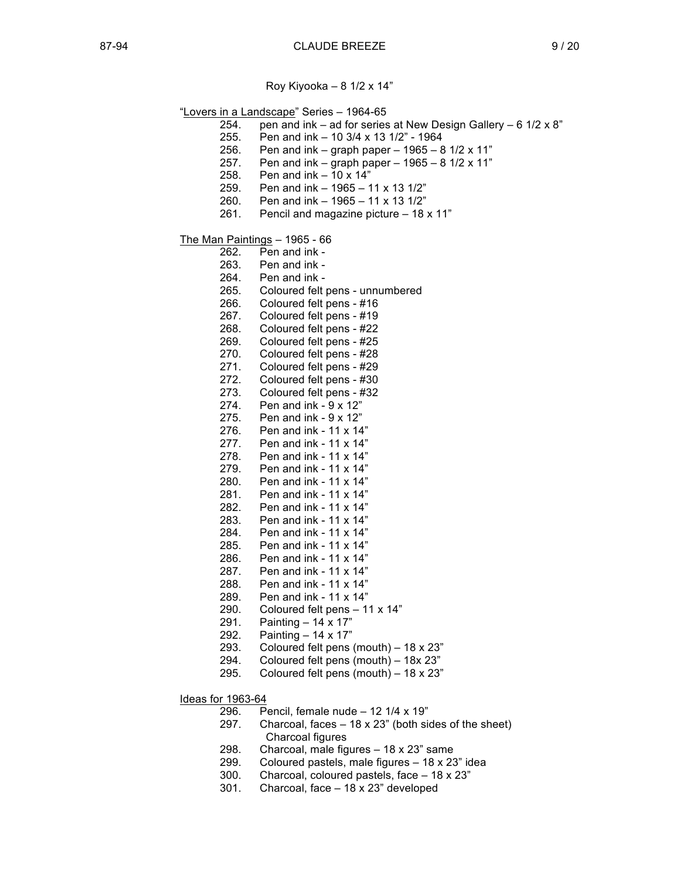Roy Kiyooka – 8 1/2 x 14"

"Lovers in a Landscape" Series – 1964-65

- 254. pen and ink ad for series at New Design Gallery  $6 \frac{1}{2} \times 8$ "
- 255. Pen and ink 10 3/4 x 13 1/2" 1964
- 256. Pen and ink graph paper 1965 8 1/2 x 11"
- 257. Pen and ink graph paper 1965 8 1/2 x 11"
- 258. Pen and ink 10 x 14"
- 259. Pen and ink 1965 11 x 13 1/2"
- 260. Pen and ink 1965 11 x 13 1/2"
- 261. Pencil and magazine picture 18 x 11"

The Man Paintings – 1965 - 66

- 262. Pen and ink -
- 263. Pen and ink -<br>264. Pen and ink -
- Pen and ink -
- 265. Coloured felt pens unnumbered
- 266. Coloured felt pens #16
- 267. Coloured felt pens #19 268. Coloured felt pens - #22
- 269. Coloured felt pens #25
- 270. Coloured felt pens #28
- 271. Coloured felt pens #29
- 272. Coloured felt pens #30
- 273. Coloured felt pens #32
- 274. Pen and ink 9 x 12"
- 275. Pen and ink 9 x 12"
- 276. Pen and ink 11 x 14"
- 277. Pen and ink 11 x 14"
- 278. Pen and ink 11 x 14"
- 279. Pen and ink 11 x 14"
- 280. Pen and ink 11 x 14"
- 281. Pen and ink 11 x 14"
- 282. Pen and ink 11 x 14"
- 283. Pen and ink 11 x 14"
- 284. Pen and ink 11 x 14"
- 285. Pen and ink 11 x 14"
- 286. Pen and ink 11 x 14"
- 287. Pen and ink 11 x 14"
- 288. Pen and ink 11 x 14"
- 289. Pen and ink 11 x 14"
- 290. Coloured felt pens 11 x 14"
- 291. Painting 14 x 17"
- 292. Painting 14 x 17"
- 293. Coloured felt pens (mouth) 18 x 23"
- 294. Coloured felt pens (mouth) 18x 23"
- 295. Coloured felt pens (mouth) 18 x 23"

Ideas for 1963-64

- 296. Pencil, female nude 12 1/4 x 19"
- 297. Charcoal, faces 18 x 23" (both sides of the sheet) Charcoal figures
- 298. Charcoal, male figures 18 x 23" same
- 299. Coloured pastels, male figures 18 x 23" idea
- 300. Charcoal, coloured pastels, face 18 x 23"
- 301. Charcoal, face 18 x 23" developed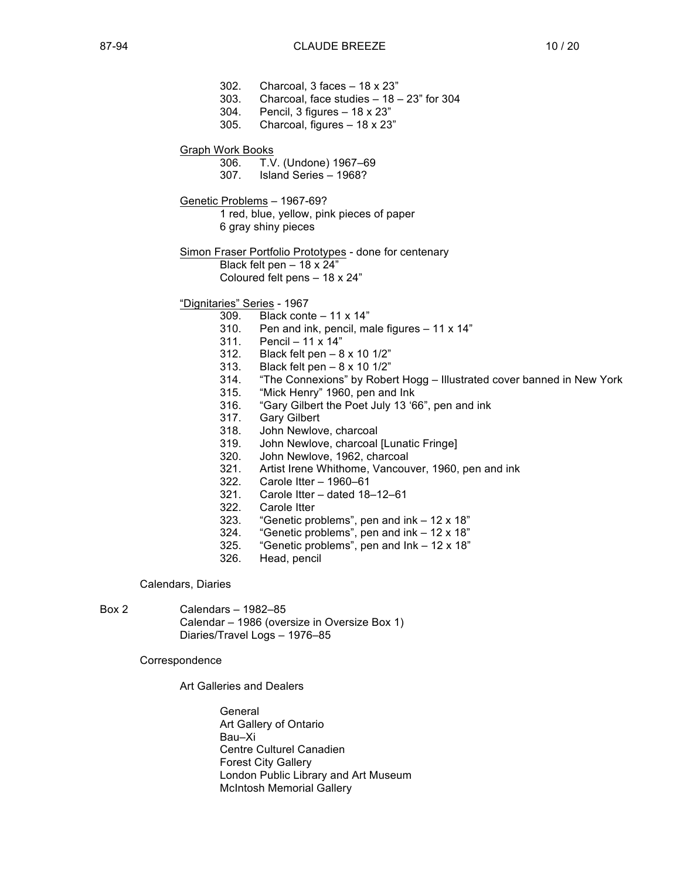- 302. Charcoal, 3 faces 18 x 23" 303. Charcoal, face studies – 18 – 23" for 304 304. Pencil, 3 figures – 18 x 23" 305. Charcoal, figures – 18 x 23" Graph Work Books 306. T.V. (Undone) 1967–69 307. Island Series – 1968? Genetic Problems – 1967-69? 1 red, blue, yellow, pink pieces of paper 6 gray shiny pieces Simon Fraser Portfolio Prototypes - done for centenary Black felt pen  $-18 \times 24$ " Coloured felt pens – 18 x 24" "Dignitaries" Series - 1967 309. Black conte – 11 x 14" 310. Pen and ink, pencil, male figures  $-11 \times 14$ "
	- 311. Pencil 11 x 14"
	- 312. Black felt pen 8 x 10 1/2"
	- 313. Black felt pen 8 x 10 1/2"
	- 314. "The Connexions" by Robert Hogg Illustrated cover banned in New York
	- 315. "Mick Henry" 1960, pen and Ink
	- 316. "Gary Gilbert the Poet July 13 '66", pen and ink
	- 317. Gary Gilbert
	- 318. John Newlove, charcoal
	- 319. John Newlove, charcoal [Lunatic Fringe]
	- 320. John Newlove, 1962, charcoal
	- 321. Artist Irene Whithome, Vancouver, 1960, pen and ink
	- 322. Carole Itter 1960–61
	- 321. Carole Itter dated 18–12–61
	- 322. Carole Itter
	- 323. "Genetic problems", pen and ink 12 x 18"
	- 324. "Genetic problems", pen and ink 12 x 18"
	- 325. "Genetic problems", pen and Ink 12 x 18"
	- 326. Head, pencil

Calendars, Diaries

Box 2 Calendars – 1982–85 Calendar – 1986 (oversize in Oversize Box 1) Diaries/Travel Logs – 1976–85

Correspondence

Art Galleries and Dealers

General Art Gallery of Ontario Bau–Xi Centre Culturel Canadien Forest City Gallery London Public Library and Art Museum McIntosh Memorial Gallery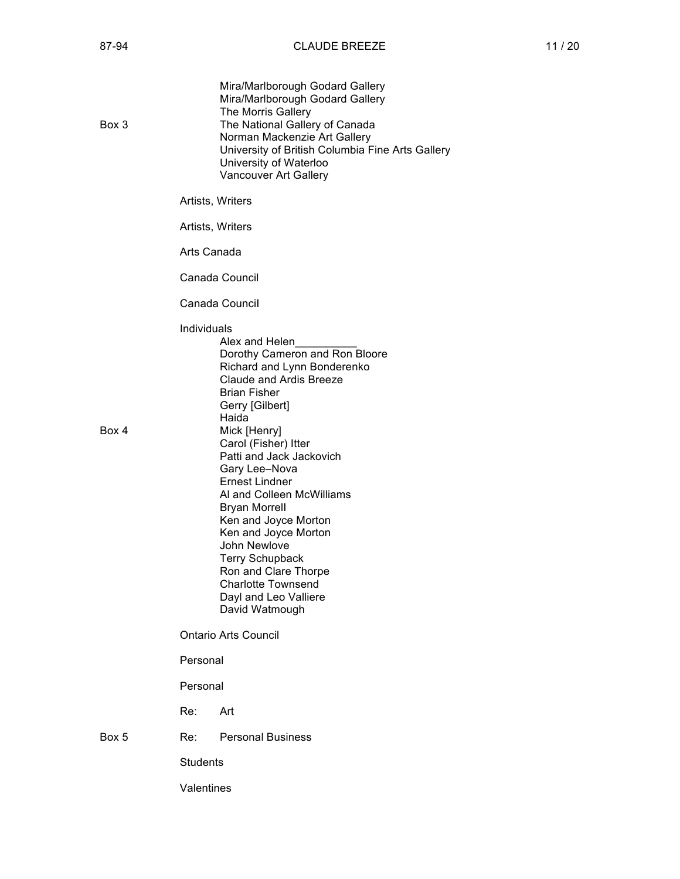| Box 3 |                             | Mira/Marlborough Godard Gallery<br>Mira/Marlborough Godard Gallery<br>The Morris Gallery<br>The National Gallery of Canada<br>Norman Mackenzie Art Gallery<br>University of British Columbia Fine Arts Gallery<br>University of Waterloo<br>Vancouver Art Gallery                                                                                                                                                                                                                                                          |  |
|-------|-----------------------------|----------------------------------------------------------------------------------------------------------------------------------------------------------------------------------------------------------------------------------------------------------------------------------------------------------------------------------------------------------------------------------------------------------------------------------------------------------------------------------------------------------------------------|--|
|       |                             | Artists, Writers                                                                                                                                                                                                                                                                                                                                                                                                                                                                                                           |  |
|       |                             | Artists, Writers                                                                                                                                                                                                                                                                                                                                                                                                                                                                                                           |  |
|       | Arts Canada                 |                                                                                                                                                                                                                                                                                                                                                                                                                                                                                                                            |  |
|       |                             | Canada Council                                                                                                                                                                                                                                                                                                                                                                                                                                                                                                             |  |
|       | Canada Council              |                                                                                                                                                                                                                                                                                                                                                                                                                                                                                                                            |  |
| Box 4 | Individuals                 | Alex and Helen<br>Dorothy Cameron and Ron Bloore<br>Richard and Lynn Bonderenko<br>Claude and Ardis Breeze<br><b>Brian Fisher</b><br>Gerry [Gilbert]<br>Haida<br>Mick [Henry]<br>Carol (Fisher) Itter<br>Patti and Jack Jackovich<br>Gary Lee-Nova<br><b>Ernest Lindner</b><br>Al and Colleen McWilliams<br><b>Bryan Morrell</b><br>Ken and Joyce Morton<br>Ken and Joyce Morton<br>John Newlove<br><b>Terry Schupback</b><br>Ron and Clare Thorpe<br><b>Charlotte Townsend</b><br>Dayl and Leo Valliere<br>David Watmough |  |
|       | <b>Ontario Arts Council</b> |                                                                                                                                                                                                                                                                                                                                                                                                                                                                                                                            |  |
|       | Personal                    |                                                                                                                                                                                                                                                                                                                                                                                                                                                                                                                            |  |
|       | Personal                    |                                                                                                                                                                                                                                                                                                                                                                                                                                                                                                                            |  |
|       | Re:                         | Art                                                                                                                                                                                                                                                                                                                                                                                                                                                                                                                        |  |
| Box 5 | Re: L                       | <b>Personal Business</b>                                                                                                                                                                                                                                                                                                                                                                                                                                                                                                   |  |
|       | <b>Students</b>             |                                                                                                                                                                                                                                                                                                                                                                                                                                                                                                                            |  |
|       | Valentines                  |                                                                                                                                                                                                                                                                                                                                                                                                                                                                                                                            |  |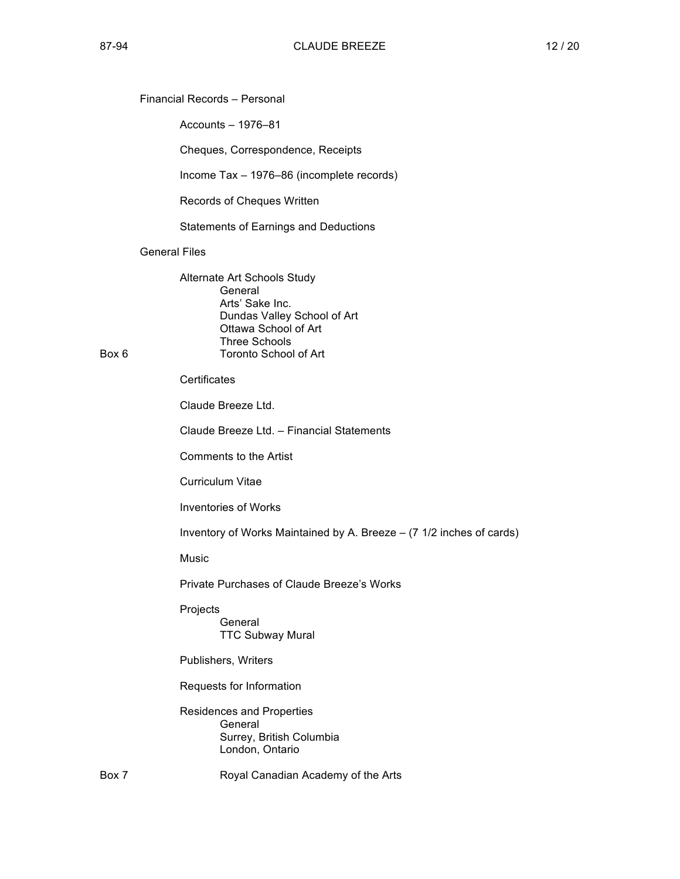## Financial Records – Personal

Accounts – 1976–81

Cheques, Correspondence, Receipts

Income Tax – 1976–86 (incomplete records)

Records of Cheques Written

Statements of Earnings and Deductions

## General Files

Alternate Art Schools Study General Arts' Sake Inc. Dundas Valley School of Art Ottawa School of Art Three Schools Box 6 Toronto School of Art

**Certificates** 

Claude Breeze Ltd.

Claude Breeze Ltd. – Financial Statements

Comments to the Artist

Curriculum Vitae

Inventories of Works

Inventory of Works Maintained by A. Breeze – (7 1/2 inches of cards)

Music

Private Purchases of Claude Breeze's Works

Projects General TTC Subway Mural

Publishers, Writers

Requests for Information

Residences and Properties General Surrey, British Columbia London, Ontario

Box 7 Royal Canadian Academy of the Arts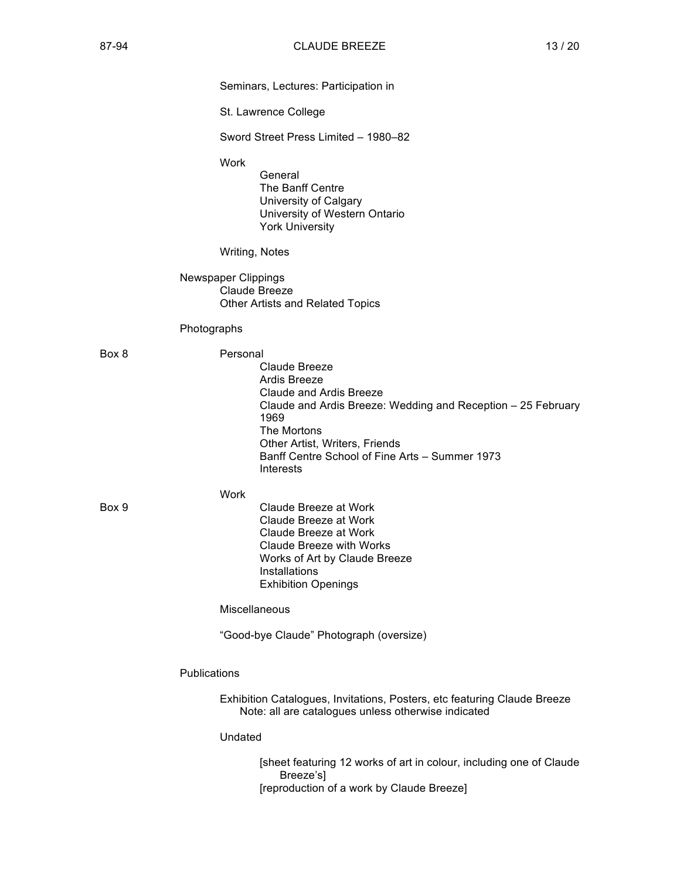| Seminars, Lectures: Participation in |  |  |  |  |  |
|--------------------------------------|--|--|--|--|--|
|--------------------------------------|--|--|--|--|--|

St. Lawrence College

Sword Street Press Limited – 1980–82

Work

General The Banff Centre University of Calgary University of Western Ontario York University

### Writing, Notes

Newspaper Clippings Claude Breeze Other Artists and Related Topics

### Photographs

| Box 8 | Personal | Claude Breeze<br>Ardis Breeze<br>Claude and Ardis Breeze<br>Claude and Ardis Breeze: Wedding and Reception – 25 February<br>1969<br>The Mortons<br>Other Artist, Writers, Friends<br>Banff Centre School of Fine Arts – Summer 1973<br>Interests |
|-------|----------|--------------------------------------------------------------------------------------------------------------------------------------------------------------------------------------------------------------------------------------------------|
| Box 9 | Work     | Claude Breeze at Work<br>Claude Breeze at Work<br>Claude Breeze at Work<br>Claude Breeze with Works<br>Works of Art by Claude Breeze                                                                                                             |

Miscellaneous

Installations

Exhibition Openings

"Good-bye Claude" Photograph (oversize)

Publications

Exhibition Catalogues, Invitations, Posters, etc featuring Claude Breeze Note: all are catalogues unless otherwise indicated

#### Undated

[sheet featuring 12 works of art in colour, including one of Claude Breeze's] [reproduction of a work by Claude Breeze]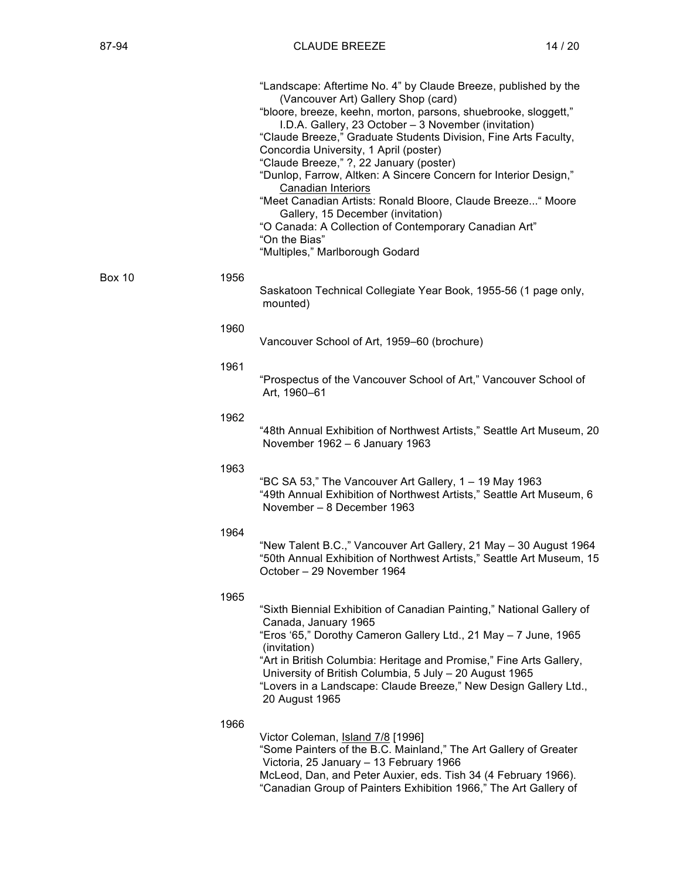|               |      | "Landscape: Aftertime No. 4" by Claude Breeze, published by the<br>(Vancouver Art) Gallery Shop (card)<br>"bloore, breeze, keehn, morton, parsons, shuebrooke, sloggett,"<br>I.D.A. Gallery, 23 October - 3 November (invitation)<br>"Claude Breeze," Graduate Students Division, Fine Arts Faculty,<br>Concordia University, 1 April (poster)<br>"Claude Breeze," ?, 22 January (poster)<br>"Dunlop, Farrow, Altken: A Sincere Concern for Interior Design,"<br>Canadian Interiors<br>"Meet Canadian Artists: Ronald Bloore, Claude Breeze" Moore<br>Gallery, 15 December (invitation)<br>"O Canada: A Collection of Contemporary Canadian Art"<br>"On the Bias"<br>"Multiples," Marlborough Godard |
|---------------|------|------------------------------------------------------------------------------------------------------------------------------------------------------------------------------------------------------------------------------------------------------------------------------------------------------------------------------------------------------------------------------------------------------------------------------------------------------------------------------------------------------------------------------------------------------------------------------------------------------------------------------------------------------------------------------------------------------|
| <b>Box 10</b> | 1956 | Saskatoon Technical Collegiate Year Book, 1955-56 (1 page only,<br>mounted)                                                                                                                                                                                                                                                                                                                                                                                                                                                                                                                                                                                                                          |
|               | 1960 | Vancouver School of Art, 1959–60 (brochure)                                                                                                                                                                                                                                                                                                                                                                                                                                                                                                                                                                                                                                                          |
|               | 1961 | "Prospectus of the Vancouver School of Art," Vancouver School of<br>Art, 1960-61                                                                                                                                                                                                                                                                                                                                                                                                                                                                                                                                                                                                                     |
|               | 1962 | "48th Annual Exhibition of Northwest Artists," Seattle Art Museum, 20<br>November 1962 - 6 January 1963                                                                                                                                                                                                                                                                                                                                                                                                                                                                                                                                                                                              |
|               | 1963 | "BC SA 53," The Vancouver Art Gallery, 1 - 19 May 1963<br>"49th Annual Exhibition of Northwest Artists," Seattle Art Museum, 6<br>November - 8 December 1963                                                                                                                                                                                                                                                                                                                                                                                                                                                                                                                                         |
|               | 1964 | "New Talent B.C.," Vancouver Art Gallery, 21 May - 30 August 1964<br>"50th Annual Exhibition of Northwest Artists," Seattle Art Museum, 15<br>October - 29 November 1964                                                                                                                                                                                                                                                                                                                                                                                                                                                                                                                             |
|               | 1965 | "Sixth Biennial Exhibition of Canadian Painting," National Gallery of<br>Canada, January 1965<br>"Eros '65," Dorothy Cameron Gallery Ltd., 21 May - 7 June, 1965<br>(invitation)<br>"Art in British Columbia: Heritage and Promise," Fine Arts Gallery,<br>University of British Columbia, 5 July - 20 August 1965<br>"Lovers in a Landscape: Claude Breeze," New Design Gallery Ltd.,<br>20 August 1965                                                                                                                                                                                                                                                                                             |
|               | 1966 | Victor Coleman, Island 7/8 [1996]<br>"Some Painters of the B.C. Mainland," The Art Gallery of Greater<br>Victoria, 25 January - 13 February 1966                                                                                                                                                                                                                                                                                                                                                                                                                                                                                                                                                     |

McLeod, Dan, and Peter Auxier, eds. Tish 34 (4 February 1966). "Canadian Group of Painters Exhibition 1966," The Art Gallery of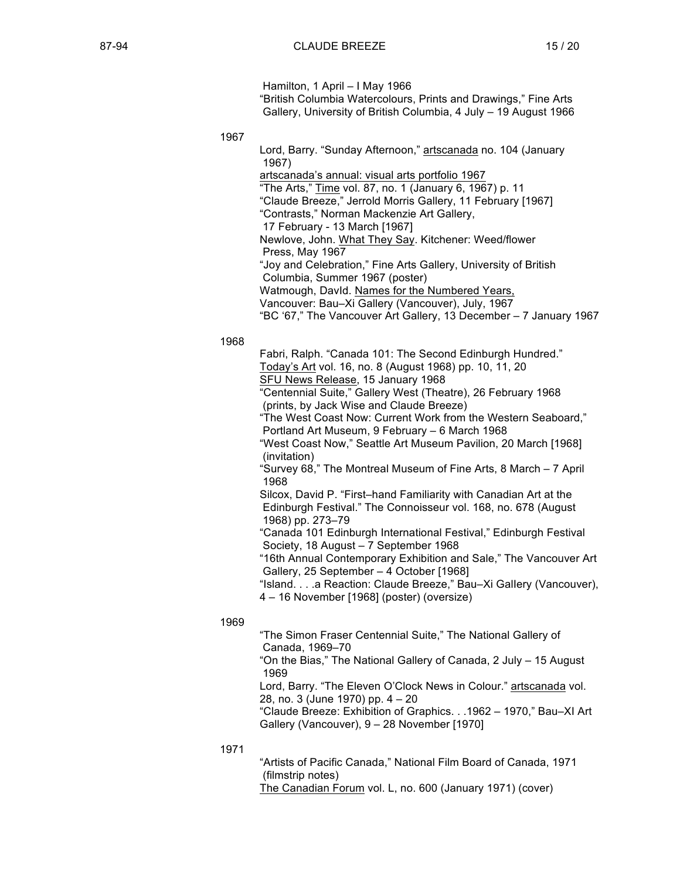Hamilton, 1 April – I May 1966

"British Columbia Watercolours, Prints and Drawings," Fine Arts Gallery, University of British Columbia, 4 July – 19 August 1966

1967

Lord, Barry. "Sunday Afternoon," artscanada no. 104 (January 1967) artscanada's annual: visual arts portfolio 1967 "The Arts," Time vol. 87, no. 1 (January 6, 1967) p. 11 "Claude Breeze," Jerrold Morris Gallery, 11 February [1967] "Contrasts," Norman Mackenzie Art Gallery, 17 February - 13 March [1967] Newlove, John. What They Say. Kitchener: Weed/flower Press, May 1967 "Joy and Celebration," Fine Arts Gallery, University of British Columbia, Summer 1967 (poster) Watmough, DavId. Names for the Numbered Years, Vancouver: Bau–Xi Gallery (Vancouver), July, 1967 "BC '67," The Vancouver Art Gallery, 13 December – 7 January 1967 1968 Fabri, Ralph. "Canada 101: The Second Edinburgh Hundred." Today's Art vol. 16, no. 8 (August 1968) pp. 10, 11, 20 SFU News Release, 15 January 1968 "Centennial Suite," Gallery West (Theatre), 26 February 1968 (prints, by Jack Wise and Claude Breeze) "The West Coast Now: Current Work from the Western Seaboard," Portland Art Museum, 9 February – 6 March 1968 "West Coast Now," Seattle Art Museum Pavilion, 20 March [1968] (invitation) "Survey 68," The Montreal Museum of Fine Arts, 8 March – 7 April 1968 Silcox, David P. "First–hand Familiarity with Canadian Art at the Edinburgh Festival." The Connoisseur vol. 168, no. 678 (August 1968) pp. 273–79 "Canada 101 Edinburgh International Festival," Edinburgh Festival Society, 18 August – 7 September 1968 "16th Annual Contemporary Exhibition and Sale," The Vancouver Art Gallery, 25 September – 4 October [1968]

"Island. . . .a Reaction: Claude Breeze," Bau–Xi GalIery (Vancouver), 4 – 16 November [1968] (poster) (oversize)

1969

"The Simon Fraser Centennial Suite," The National Gallery of Canada, 1969–70 "On the Bias," The National Gallery of Canada, 2 July – 15 August 1969 Lord, Barry. "The Eleven O'Clock News in Colour." artscanada vol.

28, no. 3 (June 1970) pp. 4 – 20

"Claude Breeze: Exhibition of Graphics. . .1962 – 1970," Bau–XI Art Gallery (Vancouver), 9 – 28 November [1970]

1971

"Artists of Pacific Canada," National Film Board of Canada, 1971 (filmstrip notes) The Canadian Forum vol. L, no. 600 (January 1971) (cover)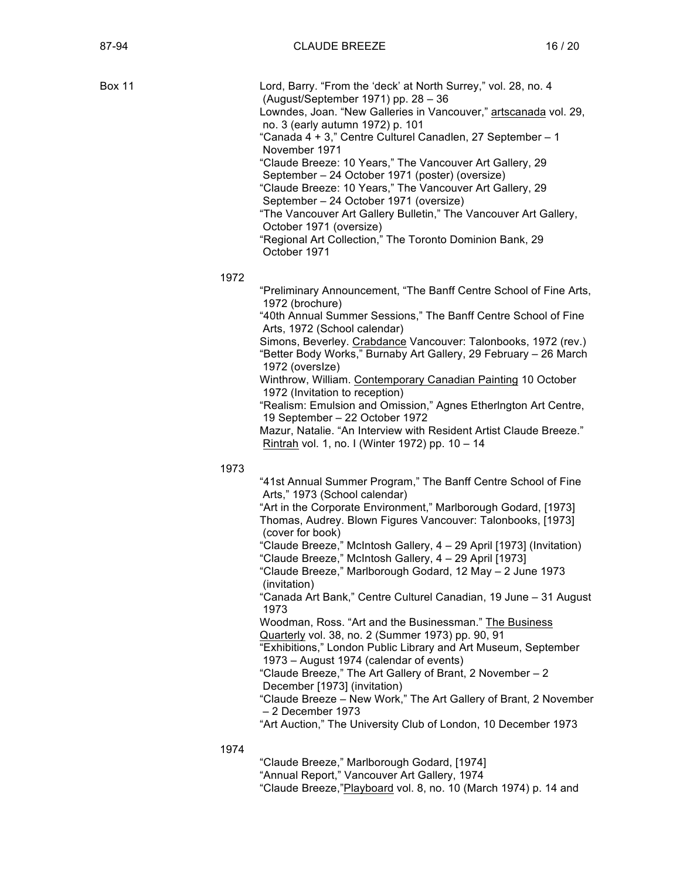Box 11 **Lord, Barry. "From the 'deck' at North Surrey," vol. 28, no. 4** (August/September 1971) pp. 28 – 36 Lowndes, Joan. "New Galleries in Vancouver," artscanada vol. 29, no. 3 (early autumn 1972) p. 101 "Canada 4 + 3," Centre Culturel Canadlen, 27 September – 1 November 1971 "Claude Breeze: 10 Years," The Vancouver Art Gallery, 29 September – 24 October 1971 (poster) (oversize) "Claude Breeze: 10 Years," The Vancouver Art Gallery, 29 September – 24 October 1971 (oversize) "The Vancouver Art Gallery Bulletin," The Vancouver Art Gallery, October 1971 (oversize) "Regional Art Collection," The Toronto Dominion Bank, 29 October 1971 1972 "Preliminary Announcement, "The Banff Centre School of Fine Arts, 1972 (brochure) "40th Annual Summer Sessions," The Banff Centre School of Fine Arts, 1972 (School calendar) Simons, Beverley. Crabdance Vancouver: Talonbooks, 1972 (rev.) "Better Body Works," Burnaby Art Gallery, 29 February – 26 March 1972 (oversIze) Winthrow, William. Contemporary Canadian Painting 10 October 1972 (Invitation to reception) "Realism: Emulsion and Omission," Agnes Etherlngton Art Centre, 19 September – 22 October 1972 Mazur, Natalie. "An Interview with Resident Artist Claude Breeze." Rintrah vol. 1, no. I (Winter 1972) pp. 10 – 14 1973 "41st Annual Summer Program," The Banff Centre School of Fine Arts," 1973 (School calendar) "Art in the Corporate Environment," Marlborough Godard, [1973] Thomas, Audrey. Blown Figures Vancouver: Talonbooks, [1973] (cover for book) "Claude Breeze," McIntosh Gallery, 4 – 29 April [1973] (Invitation) "Claude Breeze," McIntosh Gallery, 4 – 29 April [1973] "Claude Breeze," Marlborough Godard, 12 May – 2 June 1973 (invitation)

"Canada Art Bank," Centre Culturel Canadian, 19 June – 31 August 1973

Woodman, Ross. "Art and the Businessman." The Business Quarterly vol. 38, no. 2 (Summer 1973) pp. 90, 91

"Exhibitions," London Public Library and Art Museum, September 1973 – August 1974 (calendar of events)

"Claude Breeze," The Art Gallery of Brant, 2 November – 2 December [1973] (invitation)

"Claude Breeze – New Work," The Art Gallery of Brant, 2 November – 2 December 1973

"Art Auction," The University Club of London, 10 December 1973

1974

"Claude Breeze," Marlborough Godard, [1974] "Annual Report," Vancouver Art Gallery, 1974 "Claude Breeze,"Playboard vol. 8, no. 10 (March 1974) p. 14 and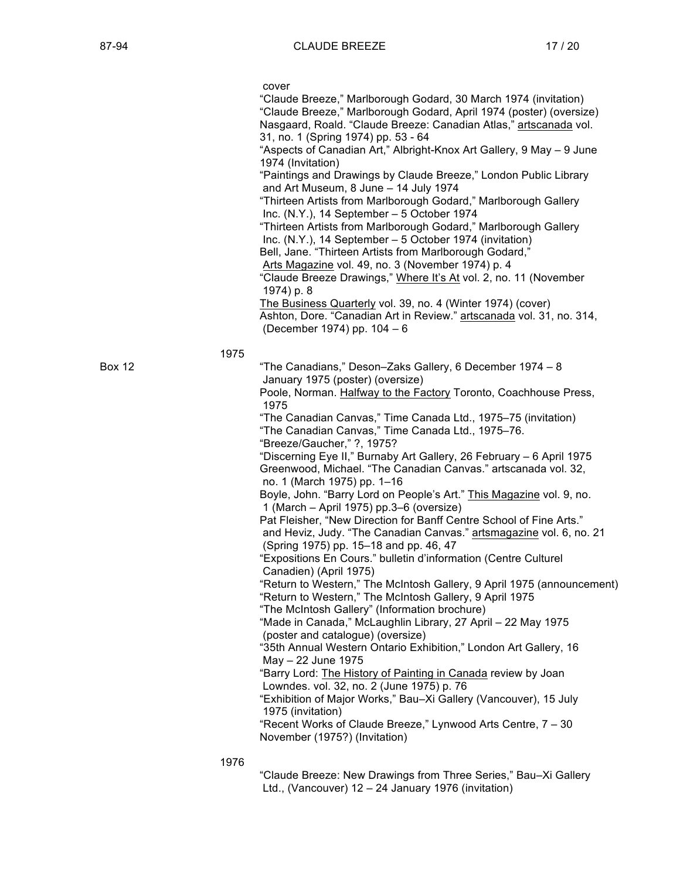cover

"Claude Breeze," Marlborough Godard, 30 March 1974 (invitation) "Claude Breeze," Marlborough Godard, April 1974 (poster) (oversize) Nasgaard, Roald. "Claude Breeze: Canadian Atlas," artscanada vol. 31, no. 1 (Spring 1974) pp. 53 - 64 "Aspects of Canadian Art," Albright-Knox Art Gallery, 9 May – 9 June 1974 (Invitation)

"Paintings and Drawings by Claude Breeze," London Public Library and Art Museum, 8 June – 14 July 1974

"Thirteen Artists from Marlborough Godard," Marlborough Gallery Inc. (N.Y.), 14 September – 5 October 1974

"Thirteen Artists from Marlborough Godard," Marlborough Gallery Inc. (N.Y.), 14 September – 5 October 1974 (invitation)

Bell, Jane. "Thirteen Artists from Marlborough Godard,"

Arts Magazine vol. 49, no. 3 (November 1974) p. 4

"Claude Breeze Drawings," Where It's At vol. 2, no. 11 (November 1974) p. 8

The Business Quarterly vol. 39, no. 4 (Winter 1974) (cover) Ashton, Dore. "Canadian Art in Review." artscanada vol. 31, no. 314, (December 1974) pp. 104 – 6

1975

Box 12 "The Canadians," Deson–Zaks Gallery, 6 December 1974 – 8 January 1975 (poster) (oversize)

Poole, Norman. Halfway to the Factory Toronto, Coachhouse Press, 1975

"The Canadian Canvas," Time Canada Ltd., 1975–75 (invitation)

"The Canadian Canvas," Time Canada Ltd., 1975–76.

"Breeze/Gaucher," ?, 1975?

"Discerning Eye II," Burnaby Art Gallery, 26 February – 6 April 1975 Greenwood, Michael. "The Canadian Canvas." artscanada vol. 32, no. 1 (March 1975) pp. 1–16

Boyle, John. "Barry Lord on People's Art." This Magazine vol. 9, no. 1 (March – April 1975) pp.3–6 (oversize)

Pat Fleisher, "New Direction for Banff Centre School of Fine Arts." and Heviz, Judy. "The Canadian Canvas." artsmagazine vol. 6, no. 21 (Spring 1975) pp. 15–18 and pp. 46, 47

"Expositions En Cours." bulletin d'information (Centre Culturel Canadien) (April 1975)

"Return to Western," The McIntosh Gallery, 9 April 1975 (announcement) "Return to Western," The McIntosh Gallery, 9 April 1975

"The McIntosh Gallery" (Information brochure)

"Made in Canada," McLaughlin Library, 27 April – 22 May 1975 (poster and catalogue) (oversize)

"35th Annual Western Ontario Exhibition," London Art Gallery, 16 May – 22 June 1975

"Barry Lord: The History of Painting in Canada review by Joan Lowndes. vol. 32, no. 2 (June 1975) p. 76

"Exhibition of Major Works," Bau–Xi Gallery (Vancouver), 15 July 1975 (invitation)

"Recent Works of Claude Breeze," Lynwood Arts Centre, 7 – 30 November (1975?) (Invitation)

1976

"Claude Breeze: New Drawings from Three Series," Bau–Xi Gallery Ltd., (Vancouver) 12 – 24 January 1976 (invitation)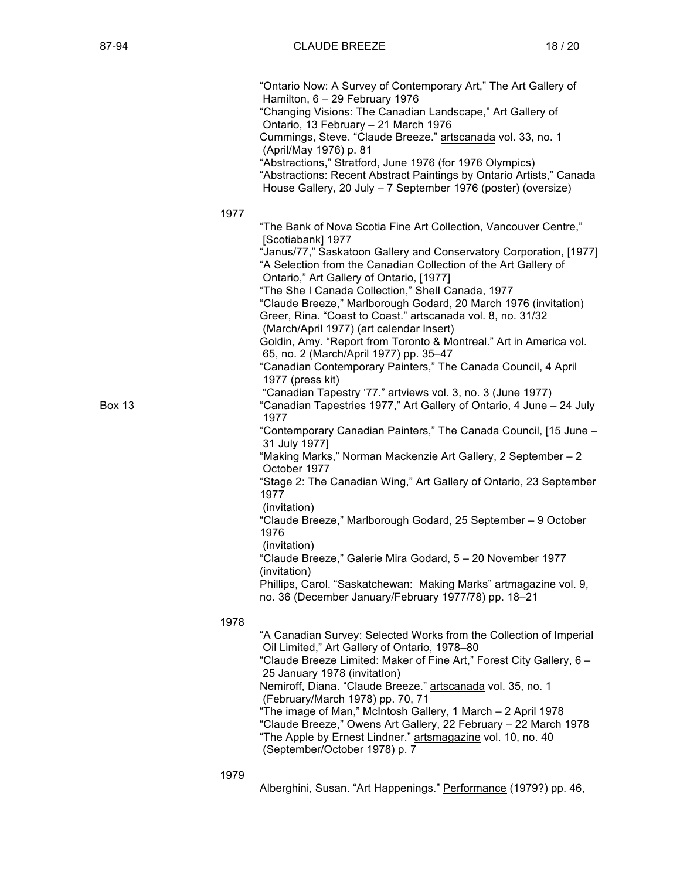|        | "Ontario Now: A Survey of Contemporary Art," The Art Gallery of<br>Hamilton, 6 - 29 February 1976<br>"Changing Visions: The Canadian Landscape," Art Gallery of<br>Ontario, 13 February - 21 March 1976<br>Cummings, Steve. "Claude Breeze." artscanada vol. 33, no. 1<br>(April/May 1976) p. 81<br>"Abstractions," Stratford, June 1976 (for 1976 Olympics)<br>"Abstractions: Recent Abstract Paintings by Ontario Artists," Canada<br>House Gallery, 20 July - 7 September 1976 (poster) (oversize)                                                                                                                                                                                                                                                                                                                                                                                                                                                                                                                                                                                                                                                                                                                                                                                                                                                                             |  |
|--------|-----------------------------------------------------------------------------------------------------------------------------------------------------------------------------------------------------------------------------------------------------------------------------------------------------------------------------------------------------------------------------------------------------------------------------------------------------------------------------------------------------------------------------------------------------------------------------------------------------------------------------------------------------------------------------------------------------------------------------------------------------------------------------------------------------------------------------------------------------------------------------------------------------------------------------------------------------------------------------------------------------------------------------------------------------------------------------------------------------------------------------------------------------------------------------------------------------------------------------------------------------------------------------------------------------------------------------------------------------------------------------------|--|
|        | 1977                                                                                                                                                                                                                                                                                                                                                                                                                                                                                                                                                                                                                                                                                                                                                                                                                                                                                                                                                                                                                                                                                                                                                                                                                                                                                                                                                                              |  |
| Box 13 | "The Bank of Nova Scotia Fine Art Collection, Vancouver Centre,"<br>[Scotiabank] 1977<br>"Janus/77," Saskatoon Gallery and Conservatory Corporation, [1977]<br>"A Selection from the Canadian Collection of the Art Gallery of<br>Ontario," Art Gallery of Ontario, [1977]<br>"The She I Canada Collection," Shell Canada, 1977<br>"Claude Breeze," Marlborough Godard, 20 March 1976 (invitation)<br>Greer, Rina. "Coast to Coast." artscanada vol. 8, no. 31/32<br>(March/April 1977) (art calendar Insert)<br>Goldin, Amy. "Report from Toronto & Montreal." Art in America vol.<br>65, no. 2 (March/April 1977) pp. 35-47<br>"Canadian Contemporary Painters," The Canada Council, 4 April<br>1977 (press kit)<br>"Canadian Tapestry '77." artviews vol. 3, no. 3 (June 1977)<br>"Canadian Tapestries 1977," Art Gallery of Ontario, 4 June - 24 July<br>1977<br>"Contemporary Canadian Painters," The Canada Council, [15 June -<br>31 July 1977]<br>"Making Marks," Norman Mackenzie Art Gallery, 2 September - 2<br>October 1977<br>"Stage 2: The Canadian Wing," Art Gallery of Ontario, 23 September<br>1977<br>(invitation)<br>"Claude Breeze," Marlborough Godard, 25 September - 9 October<br>1976<br>(invitation)<br>"Claude Breeze," Galerie Mira Godard, 5 - 20 November 1977<br>(invitation)<br>Phillips, Carol. "Saskatchewan: Making Marks" artmagazine vol. 9, |  |
|        | no. 36 (December January/February 1977/78) pp. 18-21<br>1978                                                                                                                                                                                                                                                                                                                                                                                                                                                                                                                                                                                                                                                                                                                                                                                                                                                                                                                                                                                                                                                                                                                                                                                                                                                                                                                      |  |
|        | "A Canadian Survey: Selected Works from the Collection of Imperial<br>Oil Limited," Art Gallery of Ontario, 1978-80<br>"Claude Breeze Limited: Maker of Fine Art," Forest City Gallery, 6 -<br>25 January 1978 (invitation)<br>Nemiroff, Diana. "Claude Breeze." artscanada vol. 35, no. 1<br>(February/March 1978) pp. 70, 71<br>"The image of Man," McIntosh Gallery, 1 March - 2 April 1978<br>"Claude Breeze," Owens Art Gallery, 22 February - 22 March 1978<br>"The Apple by Ernest Lindner." artsmagazine vol. 10, no. 40                                                                                                                                                                                                                                                                                                                                                                                                                                                                                                                                                                                                                                                                                                                                                                                                                                                  |  |

(September/October 1978) p. 7

1979

Alberghini, Susan. "Art Happenings." Performance (1979?) pp. 46,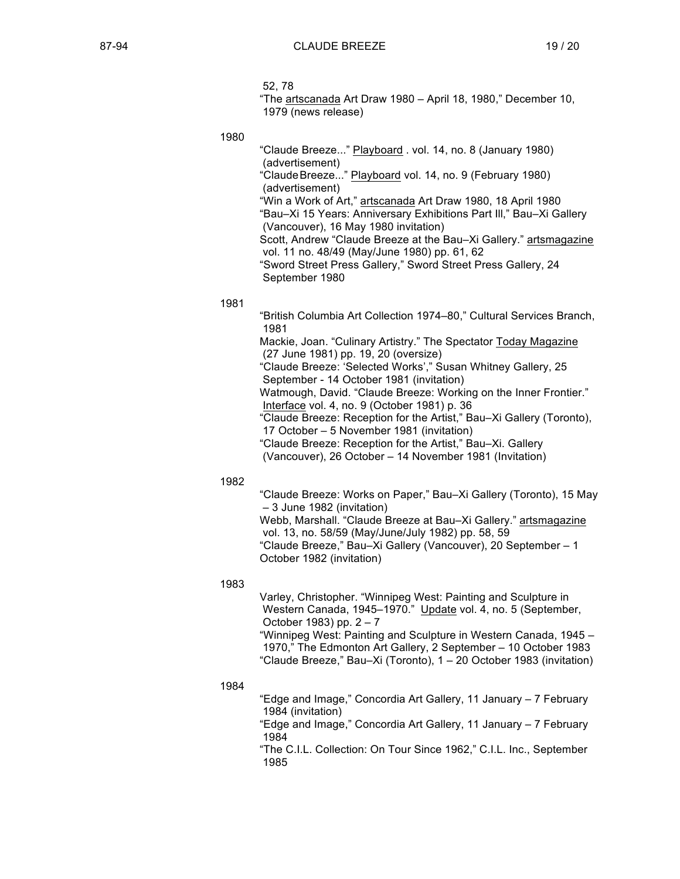- 52, 78
- "The artscanada Art Draw 1980 April 18, 1980," December 10, 1979 (news release)

1980

"Claude Breeze..." Playboard . vol. 14, no. 8 (January 1980) (advertisement) "ClaudeBreeze..." Playboard vol. 14, no. 9 (February 1980) (advertisement) "Win a Work of Art," artscanada Art Draw 1980, 18 April 1980 "Bau–Xi 15 Years: Anniversary Exhibitions Part Ill," Bau–Xi Gallery (Vancouver), 16 May 1980 invitation) Scott, Andrew "Claude Breeze at the Bau–Xi Gallery." artsmagazine vol. 11 no. 48/49 (May/June 1980) pp. 61, 62 "Sword Street Press Gallery," Sword Street Press Gallery, 24 September 1980

### 1981

"British Columbia Art Collection 1974–80," Cultural Services Branch, 1981 Mackie, Joan. "Culinary Artistry." The Spectator Today Magazine (27 June 1981) pp. 19, 20 (oversize) "Claude Breeze: 'Selected Works'," Susan Whitney Gallery, 25 September - 14 October 1981 (invitation) Watmough, David. "Claude Breeze: Working on the Inner Frontier." Interface vol. 4, no. 9 (October 1981) p. 36 "Claude Breeze: Reception for the Artist," Bau–Xi Gallery (Toronto), 17 October – 5 November 1981 (invitation) "Claude Breeze: Reception for the Artist," Bau–Xi. Gallery (Vancouver), 26 October – 14 November 1981 (Invitation)

## 1982

"Claude Breeze: Works on Paper," Bau–Xi Gallery (Toronto), 15 May – 3 June 1982 (invitation) Webb, Marshall. "Claude Breeze at Bau–Xi Gallery." artsmagazine vol. 13, no. 58/59 (May/June/July 1982) pp. 58, 59 "Claude Breeze," Bau–Xi Gallery (Vancouver), 20 September – 1 October 1982 (invitation)

1983

Varley, Christopher. "Winnipeg West: Painting and Sculpture in Western Canada, 1945–1970." Update vol. 4, no. 5 (September, October 1983) pp. 2 – 7

"Winnipeg West: Painting and Sculpture in Western Canada, 1945 – 1970," The Edmonton Art Gallery, 2 September – 10 October 1983 "Claude Breeze," Bau–Xi (Toronto), 1 – 20 October 1983 (invitation)

1984

"Edge and Image," Concordia Art Gallery, 11 January – 7 February 1984 (invitation)

"Edge and Image," Concordia Art Gallery, 11 January – 7 February 1984

"The C.I.L. Collection: On Tour Since 1962," C.I.L. Inc., September 1985